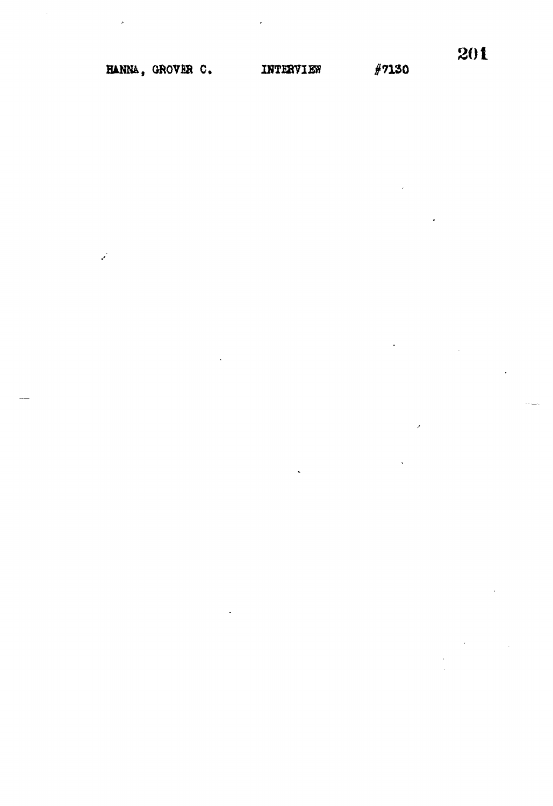$\mathbf{v}$ 

 $#7130$ 

 $\overline{\phantom{0}}$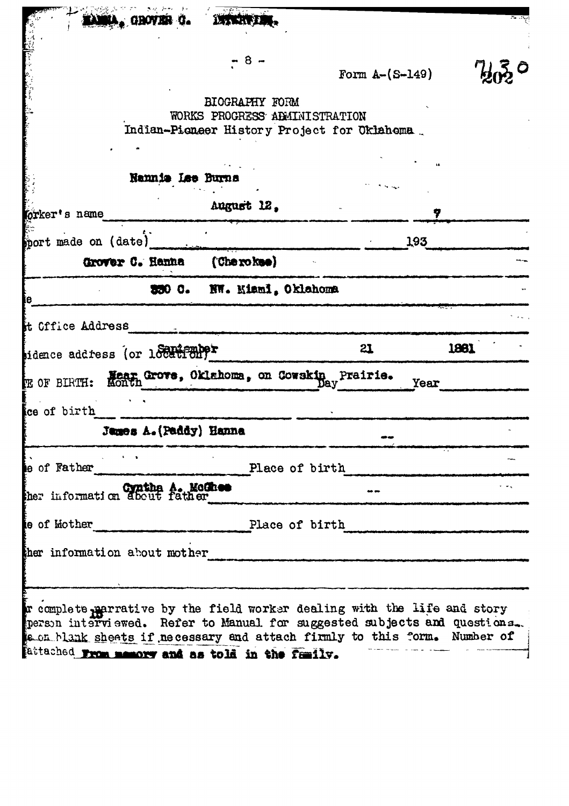| . GROVER G.                                                                                                                                                                                                                                                                          | <b>INTERFERE</b>                          |                                             |      |
|--------------------------------------------------------------------------------------------------------------------------------------------------------------------------------------------------------------------------------------------------------------------------------------|-------------------------------------------|---------------------------------------------|------|
|                                                                                                                                                                                                                                                                                      | - 8                                       | Form $A-(S-149)$                            |      |
|                                                                                                                                                                                                                                                                                      |                                           |                                             |      |
|                                                                                                                                                                                                                                                                                      | BIOGRAPHY FORM                            |                                             |      |
|                                                                                                                                                                                                                                                                                      | WORKS PROGRESS ADMINISTRATION             | Indian-Pieneer History Project for Oklahema |      |
|                                                                                                                                                                                                                                                                                      |                                           |                                             |      |
| Namnia Lee Burns                                                                                                                                                                                                                                                                     |                                           |                                             |      |
| orker's name                                                                                                                                                                                                                                                                         | August 12.                                |                                             |      |
| mort made on (date)                                                                                                                                                                                                                                                                  |                                           | 193                                         |      |
| Grover C. Hanna                                                                                                                                                                                                                                                                      | (Che rokee)                               |                                             |      |
|                                                                                                                                                                                                                                                                                      |                                           |                                             |      |
|                                                                                                                                                                                                                                                                                      | 330 C. NW. Kiaml, Oklahoma                |                                             |      |
| it Office Address                                                                                                                                                                                                                                                                    |                                           |                                             |      |
| idence address (or 1881162009)                                                                                                                                                                                                                                                       |                                           | 21                                          | 1861 |
| <b>FR OF BIRTH:</b>                                                                                                                                                                                                                                                                  | Mear Grove, Oklahoma, on Cowskin Prairie. | Year                                        |      |
| ce of birth                                                                                                                                                                                                                                                                          |                                           |                                             |      |
| James A. (Paddy) Hanna                                                                                                                                                                                                                                                               |                                           |                                             |      |
| <b>Contract Contract Street</b><br>e of Father                                                                                                                                                                                                                                       | Place of birth                            |                                             |      |
| ther information about father                                                                                                                                                                                                                                                        |                                           |                                             |      |
| e of Mother Place of birth                                                                                                                                                                                                                                                           |                                           |                                             |      |
| ther information about mother                                                                                                                                                                                                                                                        |                                           |                                             |      |
|                                                                                                                                                                                                                                                                                      |                                           |                                             |      |
| r complete parrative by the field worker dealing with the life and story<br>person interviewed. Refer to Manual for suggested subjects and questions.<br>s on blank sheets if necessary and attach firmly to this form. Number of<br>fattached www mamory and as told in the family. |                                           |                                             |      |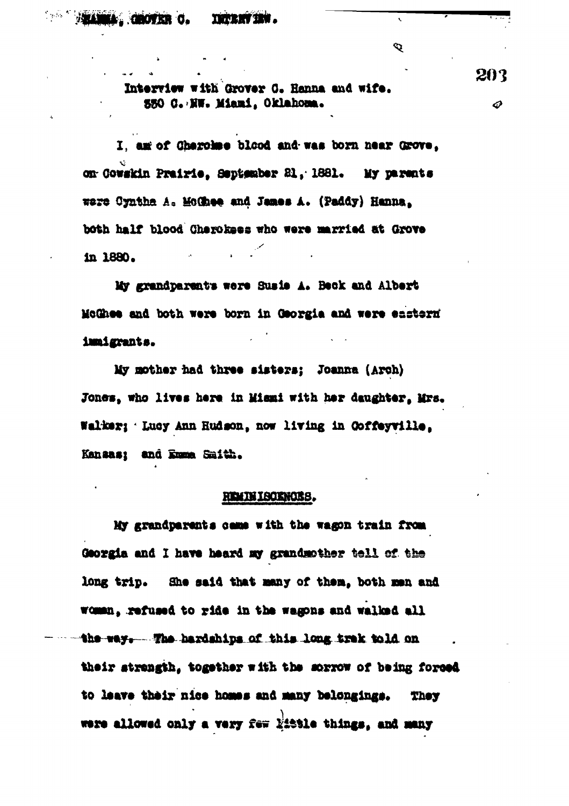$\mathbf Q$ 

Interview with Grover C. Hanna and wife. **330 C. NW. Miami, Oklahoma.** 

I, am of Charolme blood and was born near Grove, on Gowskin Prairie, September 21, 1881. My parents were Cyntha A. McChee and James A. (Paddy) Hanna. both half blood Cherokees who were married at Grove in 1880.

My grandparents were Susie A. Beck and Albert McGhee and both were born in Georgia and were enstern immigrants.

My mother had three sisters: Joanna (Arch) Jones, who lives here in Mismi with her daughter, Mrs. Walker; Lucy Ann Hudson, now living in Coffeyville, Kansas; and Emma Smith.

#### **REMINISORNOES.**

My grandparents came with the wagon train from Georgia and I have heard my grandmother tell of the long trip. She said that many of them, both men and woman, refused to ride in the wagons and walked all the way. The hardships of this long trak told on their strength, together with the sorrow of being forced to leave their nice homes and many belongings. **They** were allowed only a very few little things, and many

203 ♦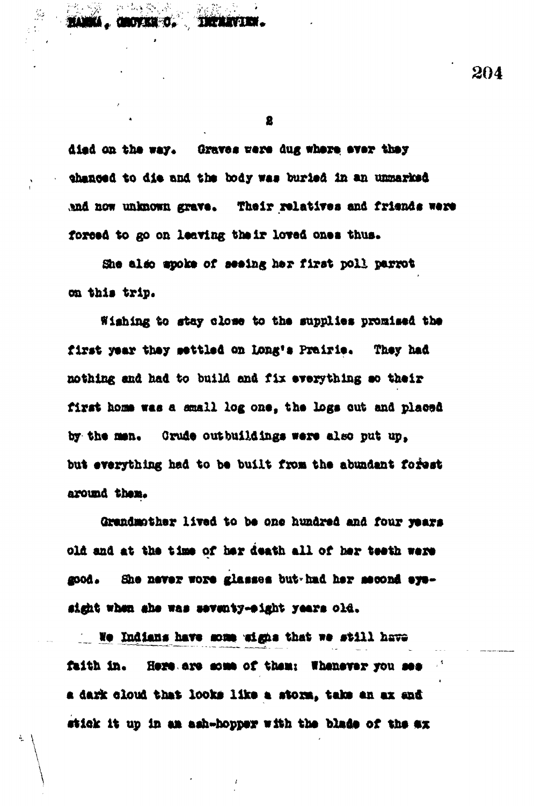died on the way. Graves were dug where ever they thanced to die and the body was buried in an unmarked and now unknown grave. Their relatives and friends were forced to go on leaving their loved ones thus.

She also spoke of seeing her first poll parrot on this trip.

Wishing to stay close to the supplies promised the first year they settled on Long's Prairie. They had nothing and had to build and fix everything so their first home was a small log one, the logs out and placed by the men. Crude outbuildings were also put up. but everything had to be built from the abundant forest around them.

Grandmother lived to be one hundred and four years old and at the time of her death all of her teeth were She never wore glasses but had her second eye-**2000.** sight when she was seventy-eight years old.

We Indians have some wight that we still have faith in. Here are some of them: Whenever you see a dark cloud that looks like a storm, take an ax and stick it up in an ash-hopper with the blade of the ex 204

2

**THERAVIEN.** 

**UNITED**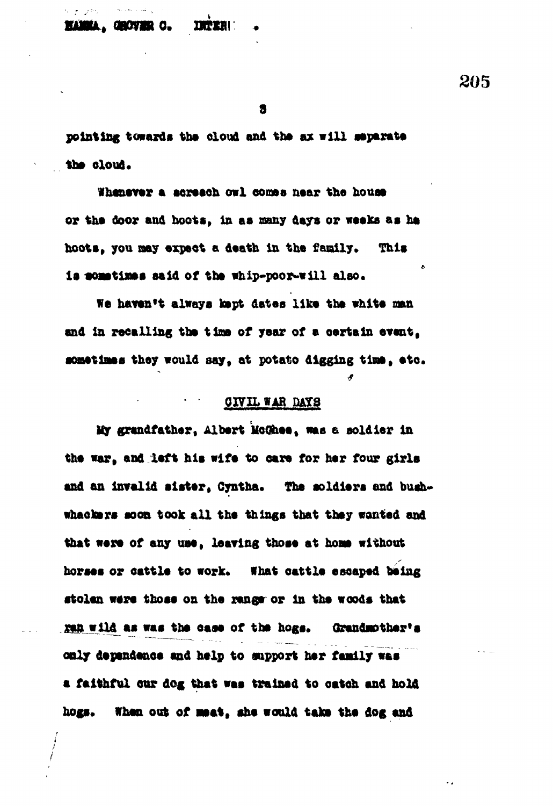**BLINK, GROVER C. 1972811** 

**205**

**9**

**pointing towards the cloud and the ax will separate** the cloud.

**Whenever a screech owl eomee near the house** or the door and hoots, in as many days or weeks as he **hoots, you nay expect a death in the family. This la aoattljats aald of the whip-poor-will also.**

We haven't always kept dates like the white man **and In recalling the time of year of a oertain event,** sometimes they would say, at potato digging time, etc.

# **WAR DAYS**

**My grandfather, Albert MoObee, was e soldier In the war, and left hie wife to care for her four girls and on invalid sister, Cyntha. The soldiers and bushwhaoksrs soon took all the things that they wanted and that were of any use, leaving those at hoa» without horses** *or* **cattle to work. What oattle escaped being stolen were those on the ranger or in the woods that** yen wild as was the case of the hogs. Grandmother's **only dependence and htlp to support her family was a faithful our dog that wee trained to catch and hold** hogs. When out of meat, she would take the dog and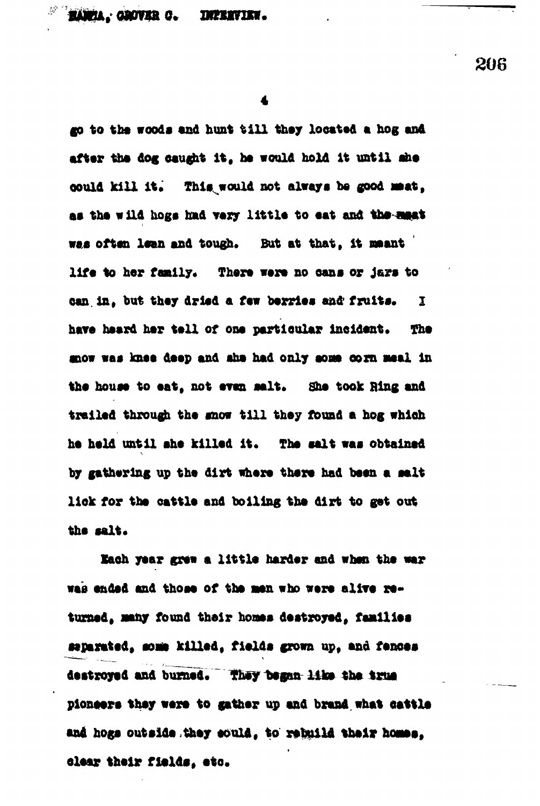go to the woods and hunt till they located a hog and after the dog caught it, he would hold it until she could kill it. This would not always be good mest, as the wild hogs had very little to eat and the mast was often lean and tough. But at that, it meant life to her family. There were no cans or jars to can in, but they dried a few berries and fruits.  $\mathbf{I}$ have heard her tell of one particular incident. The mow was knee deep and she had only some corn meal in the house to eat, not even salt. She took Ring and trailed through the snow till they found a hog which he held until ahe killed it. The salt was obtained by gathering up the dirt where there had been a salt lick for the cattle and boiling the dirt to get out the salt.

Each year grew a little harder and when the war was ended and those of the men who were alive returned, many found their homes destroyed, families separated, some killed, fields grown up, and fences destroyed and burned. They began like the true pioneers they were to gather up and brand what cattle and hogs outside they sould, to rebuild their homes. clear their fields, etc.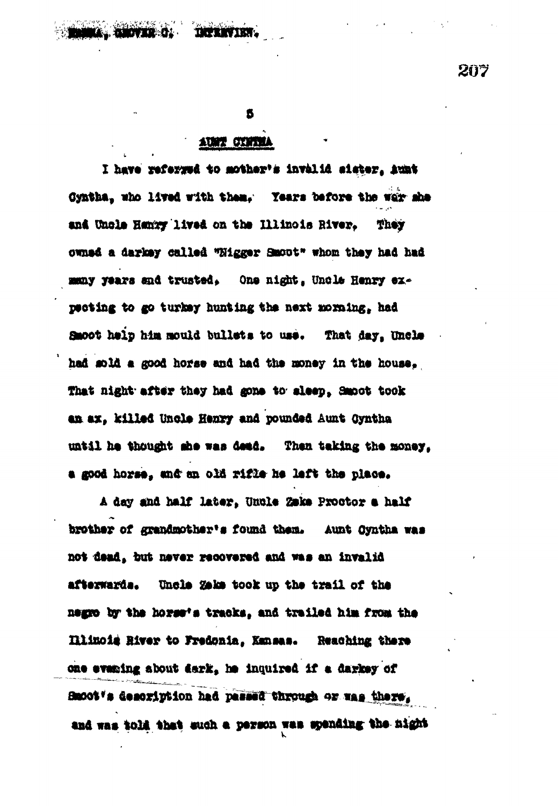AUST CENTRA

ß

I have referred to mother's invalid sister, hunt Cyntha, who lived with them. Years before the war she and Uncle Henry lived on the Illinois River. They owned a darkey called "Nigger Smoot" whom they had had many years and trusted, One night, Uncle Henry expecting to go turkey hunting the next morning, had Smoot help him mould bullets to use. That day, Uncle had sold a good horse and had the money in the house. That night after they had gone to sleep. Smoot took an ax, killed Uncle Henry and pounded Aunt Cyntha until he thought she was dead. Then taking the money. a good horse, and an old rifle he left the place.

A day and half later. Uncle Zake Proctor a half brother of grandmother's found them. Aunt Cyntha was not dead, but never recovered and was an invalid Uncle Zeke took up the trail of the afterwarda. negro by the horse's tracks, and trailed him from the Illinois River to Fredonia. Kansas. Reaching there one evaning about dark, he inquired if a darkey of Smoot 's description had passed through or was there. and was told that such a person was spending the night  $207$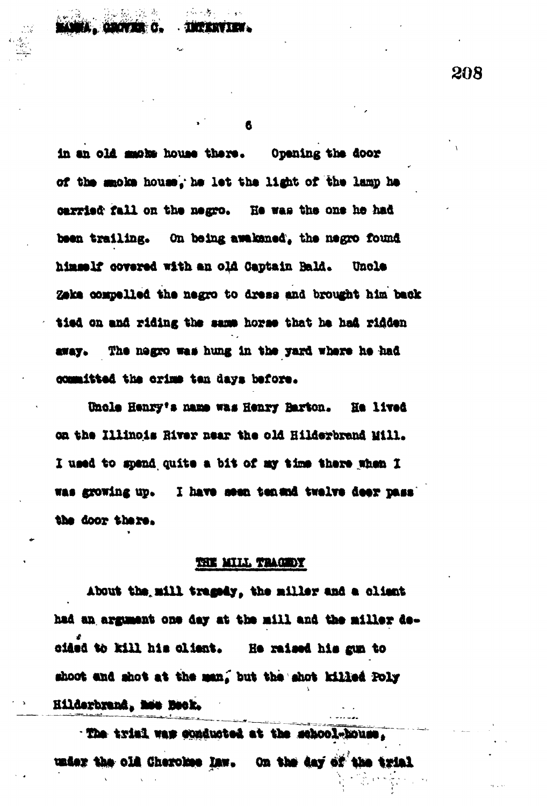in an old much house there. Opening the door of the macke house. he let the light of the lamp he carried fall on the negro. He was the one he had been trailing. On being awakaned, the negro found himself covered with an old Captain Bald. Uncle Zeka compelled the negro to dress and brought him back tied on and riding the same horse that he had ridden away. The negro was hung in the yard where he had committed the crime tan days before.

Uncle Henry's name was Henry Barton. He lived on the Illinois River near the old Hilderbrand Mill. I used to spend quite a bit of my time there when I was growing up. I have seen tenend twelve deer pass the door there.

#### THE MILL TRACEDY

About the mill tragedy, the miller and a client had an argument one day at the mill and the miller decided to kill his client. He raised his gun to shoot and shot at the man, but the shot killed Poly Hilderbrand, mee Beck.

. The trial was conducted at the school-house. under the old Cherokee law. On the day of the trial

208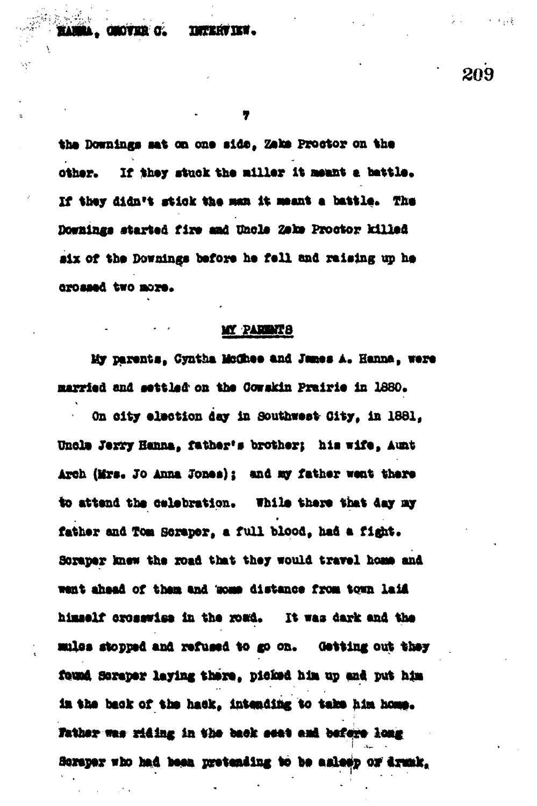## **TETERVIEW.**

 $1 + 1 + 1 + 5$ 

**209**

7

the Downings sat on one side, Zaka Proctor on the other. If they stuck the miller it meant a battle. If they didn't stick the man it meant a battle. The Downings started fire and Uncle Zeke Proctor killed six of the Downings before he fell and raising up he orossed two more.

## MY PARINTS

My parents, Cyntha McChee and James A. Hanna, were married and settled on the Cowakin Prairie in 1880.

**On olty alaotion day in soutbwaat City, in 1881,** Unola Jerry Hanna, father's brother; his wife, Aunt Arch (Mrs. Jo Anna Jones); and my father went there to attend the celebration. While there that day my father and Tom Soraper, a full blood, had a fight. Soraper knew the road that they would travel home and **want ahaad of thaa and 'awat diatanca from town laid hlmaalf oroaawlea in tha wad. it was dark and tha mXoa atoppad and xafuaad to go on. Oatting out thay fovnd aopapap laying thapa, piekad hl» up and put** *him* **la tha back of tha hack, intending to taka hla hoaa.** *fathar* **was riding in the back seat and before long Sorapar who bad** *1mm* **pratanding to ba aalaap o» dramk,**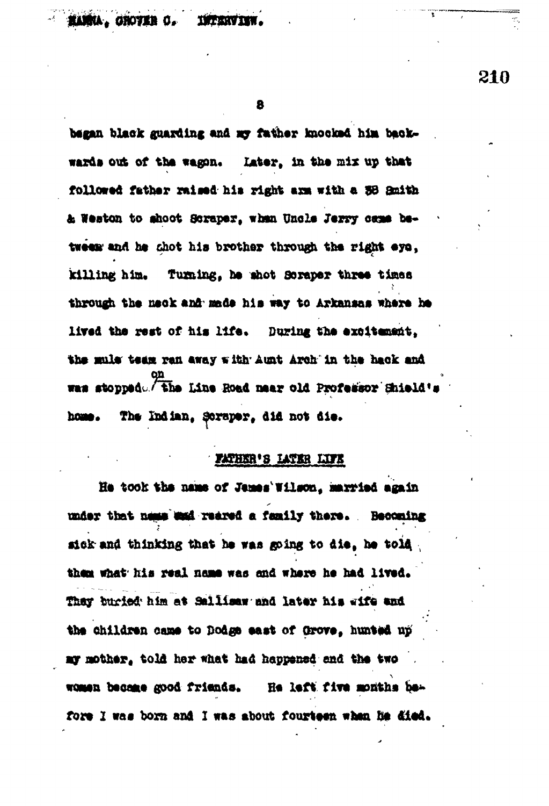HANNA. GROVER C. INTERVIEW.

8

began black guarding and my father knocked him backwards out of the wagon. Later, in the mix up that followed father raised his right arm with a 38 Smith & Weston to shoot Scraper, when Uncle Jerry came between and he shot his brother through the right eye, killing him. Turning, he shot Soraper three times through the neck and made his way to Arkansas where he lived the rest of his life. During the excitement. the mule team ran away with Aunt Arch in the hack and was stopped. The Line Road maar old Professor Shield's The Indian, Soraper, did not die. home.

### FATHER'S LATER LIFE

He took the name of James'Wilson, married again under that ness was reared a family there. Becoming sick and thinking that he was going to die, he told them what his real name was and where he had lived. They buried him at Sallisaw and later him wife and the children came to Dodge east of Grove, hunted up ay mother, told her what had happened and the two women became good friends. He left five months before I was born and I was about fourteen when he died.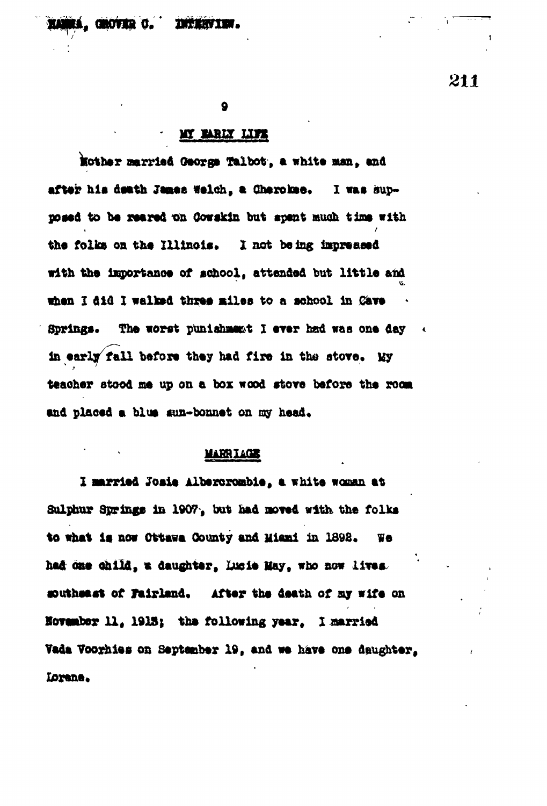#### . GROVIER C. **THERY TEM.**

 $\mathbf Q$ 

## MY BARLY LIFE

Mother married George Talbot, a white man. and after his death James Welch, a Cherokee. I was supmosed to be reared on Cowskin but spent much time with the folks on the Illinois. I not being impressed with the importance of school, attended but little and when I did I walked three miles to a school in Cave Springs. The worst punishment I ever had was one day in early fall before they had fire in the stove. My teacher stood me up on a box wood stove before the room and placed a blus sun-bonnet on my head.

### **MARRIAGE**

I married Josie Albertrombie, a white woman at Sulphur Springs in 1907, but had moved with the folks to what is now Ottawa County and Miami in 1898. We had one child, a daughter, lucie May, who now lives. southeast of Fairland. After the death of my wife on November 11, 1913; the following year. I married Vada Voorhies on September 19, and we have one daughter, Lorene.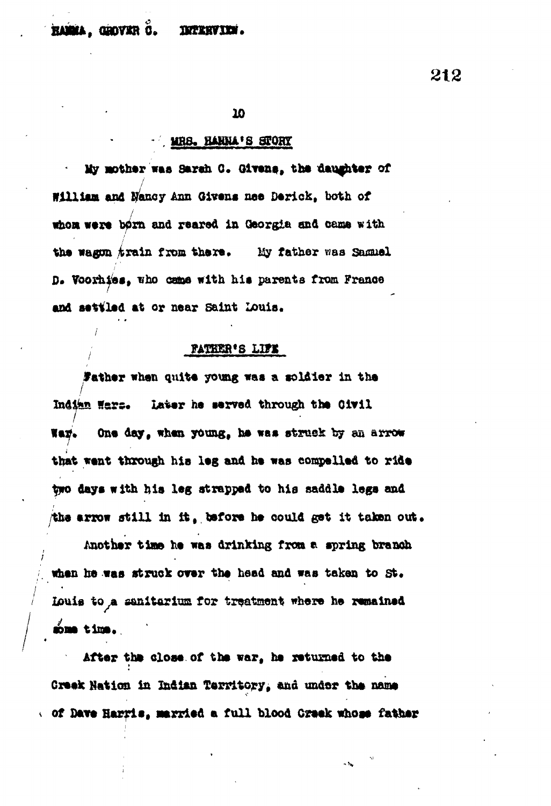#### HAMMA, GROVER C. **INTERVIEW.**

212

10

#### MRS. HANNA'S STORY

My mother was Sarah C. Givens, the daughter of William and Nancy Ann Givens nee Derick, both of whom were born and reared in Georgia and came with the wagon train from there. My father was Samuel D. Voorhies, who came with his parents from France and settled at or near Saint Louis.

#### **FATHER'S LIFE**

Father when quite young was a soldier in the Indian Wars. Later he served through the Civil Way. One day, when young, he was struck by an arrow that went through his leg and he was compelled to ride two days with his leg strapped to his saddle legs and the arrow still in it, before he could get it taken out.

Another time he was drinking from a spring branch when he was struck over the head and was taken to St. Louis to a sanitarium for treatment where he remained some time.

After the close of the war, he returned to the Creek Nation in Indian Territory, and under the name of Dave Harris, married a full blood Creek whose father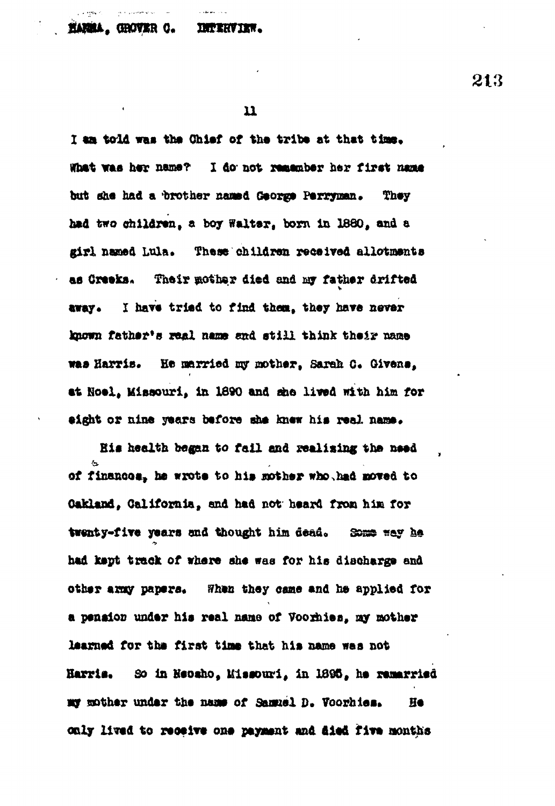#### **HARMA, GROVER O. INTERVIEW.**

وبالمستقدم

213

I am told was the Chief of the tribe at that time. What was her name? I do not remember her first name but she had a brother named George Perryman. They had two children, a boy Walter, born in 1880, and a girl named Lula. These children received allotments as Creeks. Their mother died and my father drifted I have tried to find them, they have never avay. known father's real name and still think their name was Harris. He married my mother, Sarah C. Givens, at Noel, Missouri, in 1890 and she lived with him for eight or nine years before she knew his real name.

His health began to fail and realizing the need of finances, he wrote to his mother who had moved to Cakland, California, and had not heard from him for twenty-five years and thought him dead. Some way he had kept track of where she was for his discharge and other army papers. When they came and he applied for a penaion under his real name of Voorhies, my mother learned for the first time that his name was not So in Heosho, Missouri, in 1895, he remarried Harris. my mother under the name of Samuel D. Voorhies. He only lived to receive one payment and died five months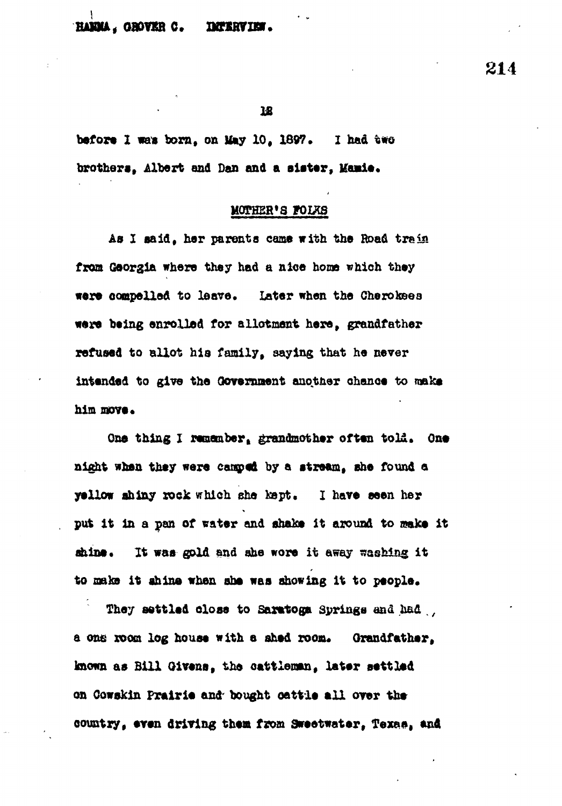#### **HAMMA, GROVER C. DETERVIEW.**

**214**

**IS**

**before I was born, on May 10, 1897.** I had two brothers. Albert and Dan and a sister, Manie.

#### **MOEHSB'S fOIXS**

**Aa I eaid, har parents came with tha Road train** from Georgia where they had a nice home which they **wore oompeXXed to leave. Later when the Cherokeea were being enrolled for allotment here, grandfather refused to allot hia family, saying that he never intended to give the Government anotner ohanoe to make him move.**

**One thing I remember, grandmother often to Li. One night whan they were cangped by a atreaa, ehe found a yellow shiny rock which she kept. I have seen her** put it in a pan of water and shake it around to make it ahine. It was gold and ahe wore it away washing it **to oala it ahino when ahe wea showing it to people.**

**They settled olose to Saratoga Springs and** *b&&* **,,** a one room log house with a shed room. Grandfather, **known as Bill Oivena, the oattlenan, later settled on Cowektn Prairie and- bought oattle all over the country, even driving them from Sweetwater<sup>t</sup> Texea, an\***